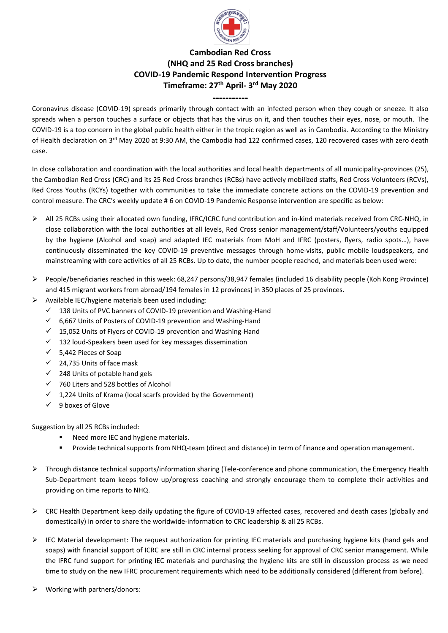

## **Cambodian Red Cross (NHQ and 25 Red Cross branches) COVID-19 Pandemic Respond Intervention Progress Timeframe: 27 th April- 3 rd May 2020**

**-----------** Coronavirus disease (COVID-19) spreads primarily through contact with an infected person when they cough or sneeze. It also spreads when a person touches a surface or objects that has the virus on it, and then touches their eyes, nose, or mouth. The COVID-19 is a top concern in the global public health either in the tropic region as well as in Cambodia. According to the Ministry of Health declaration on 3<sup>rd</sup> May 2020 at 9:30 AM, the Cambodia had 122 confirmed cases, 120 recovered cases with zero death case.

In close collaboration and coordination with the local authorities and local health departments of all municipality-provinces (25), the Cambodian Red Cross (CRC) and its 25 Red Cross branches (RCBs) have actively mobilized staffs, Red Cross Volunteers (RCVs), Red Cross Youths (RCYs) together with communities to take the immediate concrete actions on the COVID-19 prevention and control measure. The CRC's weekly update # 6 on COVID-19 Pandemic Response intervention are specific as below:

- ➢ All 25 RCBs using their allocated own funding, IFRC/ICRC fund contribution and in-kind materials received from CRC-NHQ, in close collaboration with the local authorities at all levels, Red Cross senior management/staff/Volunteers/youths equipped by the hygiene (Alcohol and soap) and adapted IEC materials from MoH and IFRC (posters, flyers, radio spots…), have continuously disseminated the key COVID-19 preventive messages through home-visits, public mobile loudspeakers, and mainstreaming with core activities of all 25 RCBs. Up to date, the number people reached, and materials been used were:
- ➢ People/beneficiaries reached in this week: 68,247 persons/38,947 females (included 16 disability people (Koh Kong Province) and 415 migrant workers from abroad/194 females in 12 provinces) in 350 places of 25 provinces.
- ➢ Available IEC/hygiene materials been used including:
	- $\checkmark$  138 Units of PVC banners of COVID-19 prevention and Washing-Hand
	- ✓ 6,667 Units of Posters of COVID-19 prevention and Washing-Hand
	- $\checkmark$  15,052 Units of Flyers of COVID-19 prevention and Washing-Hand
	- $\checkmark$  132 loud-Speakers been used for key messages dissemination
	- ✓ 5,442 Pieces of Soap
	- ✓ 24,735 Units of face mask
	- ✓ 248 Units of potable hand gels
	- ✓ 760 Liters and 528 bottles of Alcohol
	- $\checkmark$  1,224 Units of Krama (local scarfs provided by the Government)
	- ✓ 9 boxes of Glove

Suggestion by all 25 RCBs included:

- Need more IEC and hygiene materials.
- Provide technical supports from NHQ-team (direct and distance) in term of finance and operation management.
- ➢ Through distance technical supports/information sharing (Tele-conference and phone communication, the Emergency Health Sub-Department team keeps follow up/progress coaching and strongly encourage them to complete their activities and providing on time reports to NHQ.
- ➢ CRC Health Department keep daily updating the figure of COVID-19 affected cases, recovered and death cases (globally and domestically) in order to share the worldwide-information to CRC leadership & all 25 RCBs.
- $\triangleright$  IEC Material development: The request authorization for printing IEC materials and purchasing hygiene kits (hand gels and soaps) with financial support of ICRC are still in CRC internal process seeking for approval of CRC senior management. While the IFRC fund support for printing IEC materials and purchasing the hygiene kits are still in discussion process as we need time to study on the new IFRC procurement requirements which need to be additionally considered (different from before).
- ➢ Working with partners/donors: